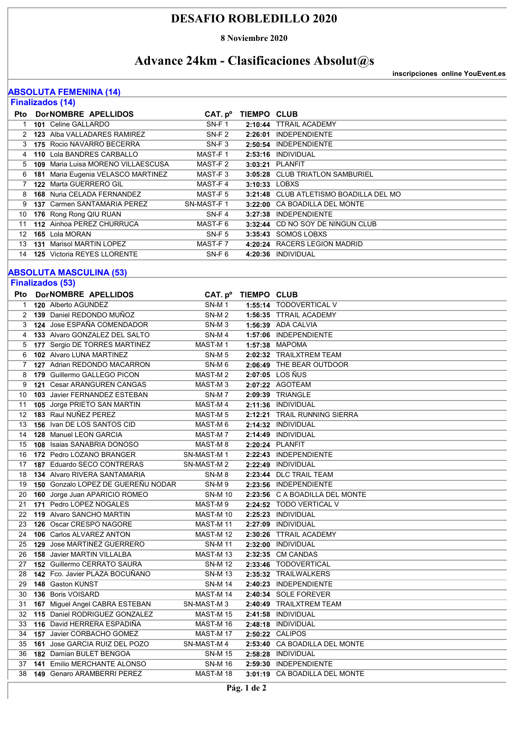### **DESAFIO ROBLEDILLO 2020**

**8 Noviembre 2020**

# **Advance 24km - Clasificaciones Absolut@s**

**inscripciones online YouEvent.es**

#### **ABSOLUTA FEMENINA (14)**

| <b>Finalizados (14)</b>        |                                                          |                                        |                     |                                                    |  |  |  |  |
|--------------------------------|----------------------------------------------------------|----------------------------------------|---------------------|----------------------------------------------------|--|--|--|--|
| Pto                            | DorNOMBRE APELLIDOS                                      |                                        | CAT. pº TIEMPO CLUB |                                                    |  |  |  |  |
| 1                              | 101 Celine GALLARDO                                      | SN-F1                                  |                     | 2:10:44 TTRAIL ACADEMY                             |  |  |  |  |
| 2                              | 123 Alba VALLADARES RAMIREZ                              | SN-F <sub>2</sub>                      |                     | 2:26:01 INDEPENDIENTE                              |  |  |  |  |
|                                | 3 175 Rocio NAVARRO BECERRA                              | SN-F <sub>3</sub>                      |                     | 2:50:54 INDEPENDIENTE                              |  |  |  |  |
| 4                              | 110 Lola BANDRES CARBALLO                                | MAST-F1                                |                     | 2:53:16 INDIVIDUAL                                 |  |  |  |  |
| 5                              | 109 Maria Luisa MORENO VILLAESCUSA                       | MAST-F 2                               |                     | 3:03:21 PLANFIT                                    |  |  |  |  |
| 6                              | 181 Maria Eugenia VELASCO MARTINEZ                       | MAST-F3                                |                     | 3:05:28 CLUB TRIATLON SAMBURIEL                    |  |  |  |  |
| 7                              | 122 Marta GUERRERO GIL                                   | MAST-F4                                | 3:10:33 LOBXS       |                                                    |  |  |  |  |
| 8                              | 168 Nuria CELADA FERNANDEZ                               | MAST-F 5                               |                     | 3:21:48 CLUB ATLETISMO BOADILLA DEL MO             |  |  |  |  |
| 9                              | 137 Carmen SANTAMARIA PEREZ                              | SN-MAST-F1                             |                     | 3:22:00 CA BOADILLA DEL MONTE                      |  |  |  |  |
| 10                             | 176 Rong Rong QIU RUAN                                   | $SN-F 4$                               |                     | 3:27:38 INDEPENDIENTE                              |  |  |  |  |
| 11                             | 112 Ainhoa PEREZ CHURRUCA                                | MAST-F 6                               |                     | 3:32:44 CD NO SOY DE NINGUN CLUB                   |  |  |  |  |
| 12                             | 165 Lola MORAN                                           | SN-F <sub>5</sub>                      |                     | 3:35:43 SOMOS LOBXS                                |  |  |  |  |
| 13                             | <b>131 Marisol MARTIN LOPEZ</b>                          | MAST-F7                                |                     | 4:20:24 RACERS LEGION MADRID                       |  |  |  |  |
| 14                             | <b>125</b> Victoria REYES LLORENTE                       | SN-F <sub>6</sub>                      |                     | 4:20:36 INDIVIDUAL                                 |  |  |  |  |
| <b>ABSOLUTA MASCULINA (53)</b> |                                                          |                                        |                     |                                                    |  |  |  |  |
|                                | <b>Finalizados (53)</b>                                  |                                        |                     |                                                    |  |  |  |  |
|                                |                                                          |                                        |                     |                                                    |  |  |  |  |
| Pto                            | DorNOMBRE APELLIDOS                                      |                                        | CAT. pº TIEMPO CLUB |                                                    |  |  |  |  |
| $\mathbf{1}$                   | 120 Alberto AGUNDEZ                                      | SN-M <sub>1</sub>                      |                     | 1:55:14 TODOVERTICAL V                             |  |  |  |  |
|                                | 2 139 Daniel REDONDO MUÑOZ<br>124 Jose ESPAÑA COMENDADOR | SN-M <sub>2</sub>                      |                     | 1:56:35 TTRAIL ACADEMY                             |  |  |  |  |
| 3                              | 133 Alvaro GONZALEZ DEL SALTO                            | SN-M <sub>3</sub>                      |                     | <b>1:56:39 ADA CALVIA</b><br>1:57:06 INDEPENDIENTE |  |  |  |  |
| 4                              | 177 Sergio DE TORRES MARTINEZ                            | SN-M4<br>MAST-M1                       |                     | 1:57:38 MAPOMA                                     |  |  |  |  |
| 5                              | 102 Alvaro LUNA MARTINEZ                                 |                                        |                     | 2:02:32 TRAILXTREM TEAM                            |  |  |  |  |
| 6<br>7                         | 127 Adrian REDONDO MACARRON                              | SN-M <sub>5</sub><br>SN-M <sub>6</sub> |                     | 2:06:49 THE BEAR OUTDOOR                           |  |  |  |  |
| 8                              | 179 Guillermo GALLEGO PICON                              | MAST-M2                                |                     | 2:07:05 LOS ÑUS                                    |  |  |  |  |
| 9                              | <b>121 Cesar ARANGUREN CANGAS</b>                        | MAST-M <sub>3</sub>                    |                     | 2:07:22 AGOTEAM                                    |  |  |  |  |
| 10                             | 103 Javier FERNANDEZ ESTEBAN                             | SN-M7                                  |                     | 2:09:39 TRIANGLE                                   |  |  |  |  |
| 11                             | 105 Jorge PRIETO SAN MARTIN                              | MAST-M4                                |                     | 2:11:36 INDIVIDUAL                                 |  |  |  |  |
| 12                             | 183 Raul NUÑEZ PEREZ                                     | MAST-M <sub>5</sub>                    |                     | 2:12:21 TRAIL RUNNING SIERRA                       |  |  |  |  |
| 13                             | <b>156</b> Ivan DE LOS SANTOS CID                        | MAST-M 6                               |                     | 2:14:32 INDIVIDUAL                                 |  |  |  |  |
| 14                             | 128 Manuel LEON GARCIA                                   | MAST-M7                                |                     | 2:14:49 INDIVIDUAL                                 |  |  |  |  |
| 15                             | 108 Isaias SANABRIA DONOSO                               | MAST-M8                                |                     | 2:20:24 PLANFIT                                    |  |  |  |  |
| 16                             | 172 Pedro LOZANO BRANGER                                 | SN-MAST-M1                             |                     | 2:22:43 INDEPENDIENTE                              |  |  |  |  |
| 17                             | 187 Eduardo SECO CONTRERAS                               | SN-MAST-M2                             |                     | 2:22:49 INDIVIDUAL                                 |  |  |  |  |
| 18                             | <b>134 Alvaro RIVERA SANTAMARIA</b>                      | SN-M <sub>8</sub>                      |                     | 2:23:44 DLC TRAIL TEAM                             |  |  |  |  |
| 19                             | 150 Gonzalo LOPEZ DE GUEREÑU NODAR                       | SN-M9                                  |                     | 2:23:56 INDEPENDIENTE                              |  |  |  |  |
| 20                             | 160 Jorge Juan APARICIO ROMEO                            | <b>SN-M10</b>                          |                     | 2:23:56 C A BOADILLA DEL MONTE                     |  |  |  |  |
| 21                             | 171 Pedro LOPEZ NOGALES                                  | MAST-M9                                |                     | 2:24:52 TODO VERTICAL V                            |  |  |  |  |
| 22                             | 119 Alvaro SANCHO MARTIN                                 | MAST-M 10                              |                     | 2:25:23 INDIVIDUAL                                 |  |  |  |  |
| 23                             | 126 Oscar CRESPO NAGORE                                  | MAST-M 11                              |                     | 2:27:09 INDIVIDUAL                                 |  |  |  |  |
| 24                             | <b>106</b> Carlos ALVAREZ ANTON                          | MAST-M 12                              |                     | 2:30:26 TTRAIL ACADEMY                             |  |  |  |  |
| 25                             | 129 Jose MARTINEZ GUERRERO                               | <b>SN-M11</b>                          |                     | 2:32:00 INDIVIDUAL                                 |  |  |  |  |
| 26                             | 158 Javier MARTIN VILLALBA                               | MAST-M13                               |                     | 2:32:35 CM CANDAS                                  |  |  |  |  |
| 27                             | 152 Guillermo CERRATO SAURA                              | <b>SN-M12</b>                          |                     | 2:33:46 TODOVERTICAL                               |  |  |  |  |
| 28                             | 142 Fco. Javier PLAZA BOCUÑANO                           | <b>SN-M13</b>                          |                     | 2:35:32 TRAILWALKERS                               |  |  |  |  |
| 29                             | 148 Gaston KUNST                                         | <b>SN-M14</b>                          |                     | 2:40:23 INDEPENDIENTE                              |  |  |  |  |
| 30                             | 136 Boris VOISARD                                        | MAST-M 14                              |                     | 2:40:34 SOLE FOREVER                               |  |  |  |  |
| 31                             | 167 Miguel Angel CABRA ESTEBAN                           | SN-MAST-M3                             |                     | 2:40:49 TRAILXTREM TEAM                            |  |  |  |  |
| 32                             | 115 Daniel RODRIGUEZ GONZALEZ                            | MAST-M 15                              |                     | 2:41:58 INDIVIDUAL                                 |  |  |  |  |
| 33                             | 116 David HERRERA ESPADIÑA                               | MAST-M 16                              |                     | 2:48:18 INDIVIDUAL                                 |  |  |  |  |
| 34                             | 157 Javier CORBACHO GOMEZ                                | MAST-M 17                              |                     | 2:50:22 CALIPOS                                    |  |  |  |  |
| 35                             | 161 Jose GARCIA RUIZ DEL POZO                            | SN-MAST-M 4                            |                     | 2:53:40 CA BOADILLA DEL MONTE                      |  |  |  |  |
| 36                             | 182 Damian BULET BENGOA                                  | <b>SN-M15</b>                          |                     | 2:58:28 INDIVIDUAL                                 |  |  |  |  |
| 37                             | 141 Emilio MERCHANTE ALONSO                              | <b>SN-M16</b>                          |                     | 2:59:30 INDEPENDIENTE                              |  |  |  |  |
| 38                             | 149 Genaro ARAMBERRI PEREZ                               | MAST-M 18                              |                     | 3:01:19 CA BOADILLA DEL MONTE                      |  |  |  |  |